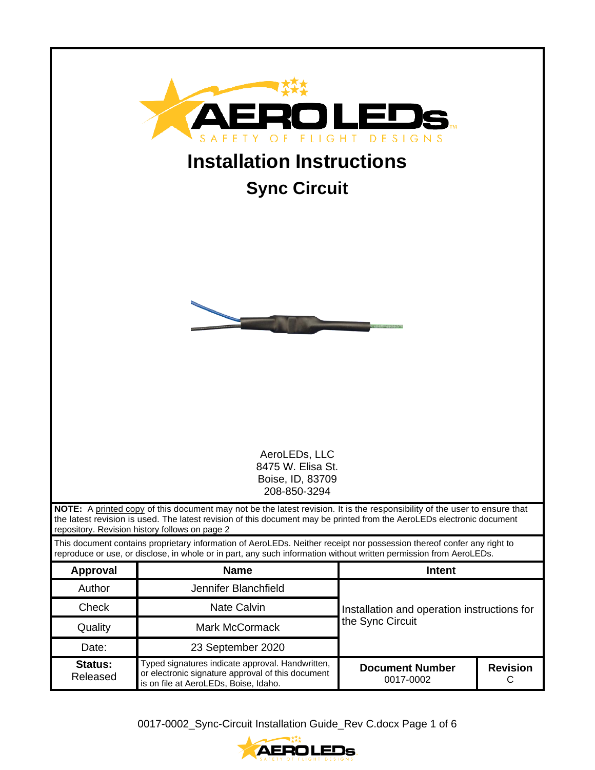| DESIGNS<br>G H T<br><b>Installation Instructions</b><br><b>Sync Circuit</b> |                                                                                                                                                                                                                                                                                                       |                                             |                      |  |  |
|-----------------------------------------------------------------------------|-------------------------------------------------------------------------------------------------------------------------------------------------------------------------------------------------------------------------------------------------------------------------------------------------------|---------------------------------------------|----------------------|--|--|
| AeroLEDs, LLC<br>8475 W. Elisa St.<br>Boise, ID, 83709                      |                                                                                                                                                                                                                                                                                                       |                                             |                      |  |  |
|                                                                             | 208-850-3294                                                                                                                                                                                                                                                                                          |                                             |                      |  |  |
|                                                                             | NOTE: A printed copy of this document may not be the latest revision. It is the responsibility of the user to ensure that<br>the latest revision is used. The latest revision of this document may be printed from the AeroLEDs electronic document<br>repository. Revision history follows on page 2 |                                             |                      |  |  |
|                                                                             | This document contains proprietary information of AeroLEDs. Neither receipt nor possession thereof confer any right to<br>reproduce or use, or disclose, in whole or in part, any such information without written permission from AeroLEDs.                                                          |                                             |                      |  |  |
| <b>Approval</b>                                                             | <b>Name</b>                                                                                                                                                                                                                                                                                           | <b>Intent</b>                               |                      |  |  |
| Author                                                                      | Jennifer Blanchfield                                                                                                                                                                                                                                                                                  |                                             |                      |  |  |
| Check                                                                       | <b>Nate Calvin</b>                                                                                                                                                                                                                                                                                    | Installation and operation instructions for |                      |  |  |
| Quality                                                                     | the Sync Circuit<br><b>Mark McCormack</b>                                                                                                                                                                                                                                                             |                                             |                      |  |  |
| Date:                                                                       | 23 September 2020                                                                                                                                                                                                                                                                                     |                                             |                      |  |  |
| <b>Status:</b><br>Released                                                  | Typed signatures indicate approval. Handwritten,<br>or electronic signature approval of this document<br>is on file at AeroLEDs, Boise, Idaho.                                                                                                                                                        | <b>Document Number</b><br>0017-0002         | <b>Revision</b><br>С |  |  |

0017-0002\_Sync-Circuit Installation Guide\_Rev C.docx Page 1 of 6

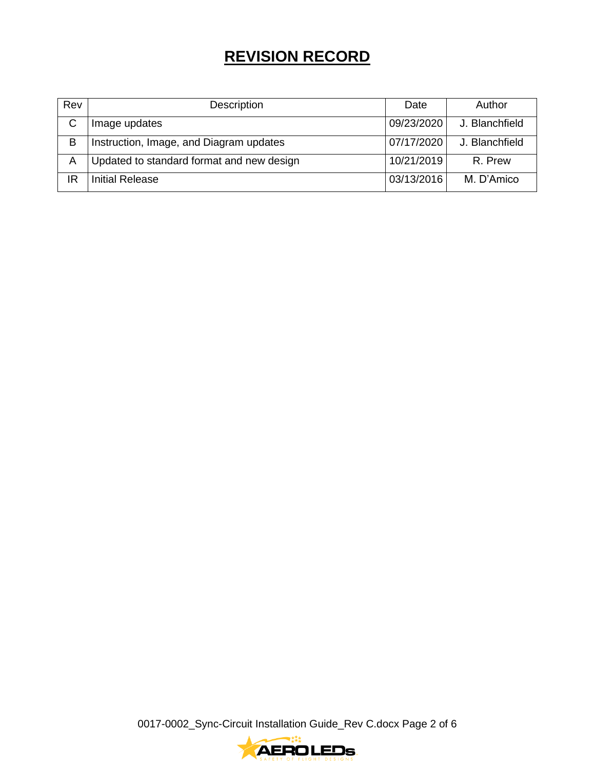# **REVISION RECORD**

| Rev | Description                               | Date       | Author         |
|-----|-------------------------------------------|------------|----------------|
| C   | Image updates                             | 09/23/2020 | J. Blanchfield |
| B   | Instruction, Image, and Diagram updates   | 07/17/2020 | J. Blanchfield |
| A   | Updated to standard format and new design |            | R. Prew        |
| IR  | Initial Release                           | 03/13/2016 | M. D'Amico     |

0017-0002\_Sync-Circuit Installation Guide\_Rev C.docx Page 2 of 6

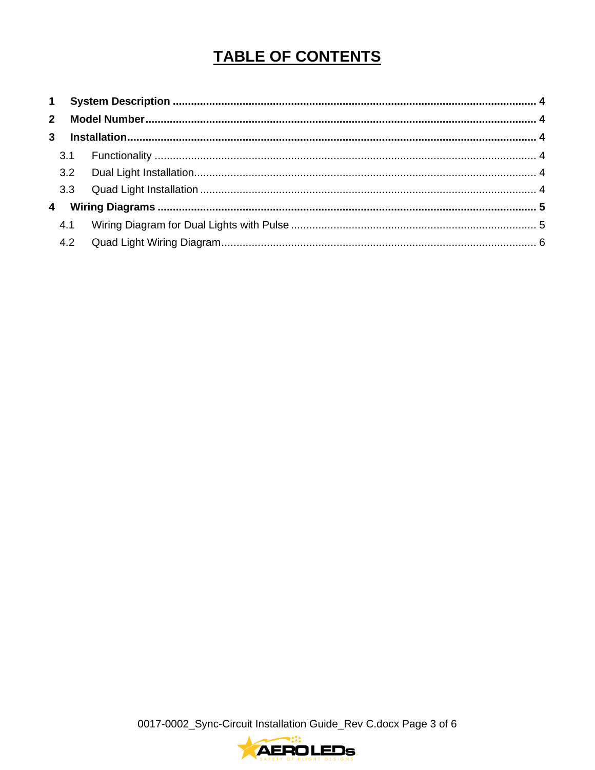# **TABLE OF CONTENTS**

0017-0002\_Sync-Circuit Installation Guide\_Rev C.docx Page 3 of 6

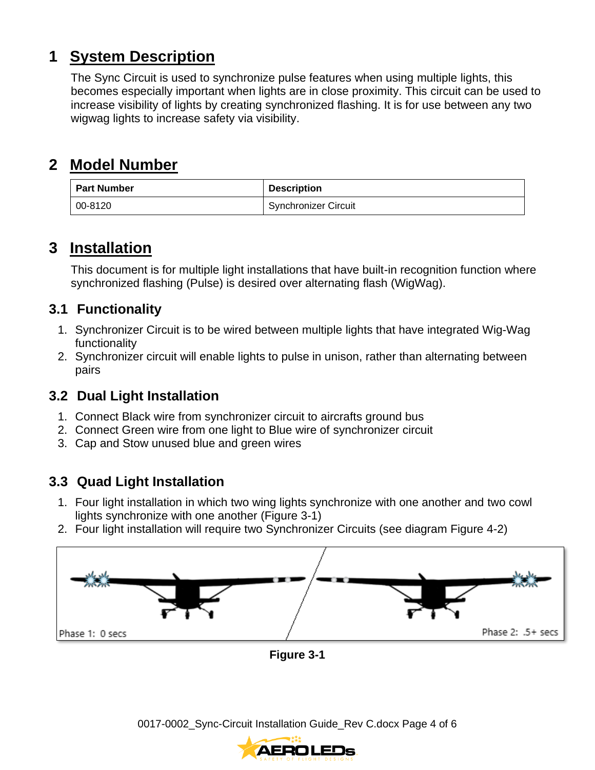### <span id="page-3-0"></span>**1 System Description**

The Sync Circuit is used to synchronize pulse features when using multiple lights, this becomes especially important when lights are in close proximity. This circuit can be used to increase visibility of lights by creating synchronized flashing. It is for use between any two wigwag lights to increase safety via visibility.

## <span id="page-3-1"></span>**2 Model Number**

| <b>Part Number</b> | <b>Description</b>          |  |
|--------------------|-----------------------------|--|
| 00-8120            | <b>Synchronizer Circuit</b> |  |

### <span id="page-3-2"></span>**3 Installation**

This document is for multiple light installations that have built-in recognition function where synchronized flashing (Pulse) is desired over alternating flash (WigWag).

### <span id="page-3-3"></span>**3.1 Functionality**

- 1. Synchronizer Circuit is to be wired between multiple lights that have integrated Wig-Wag functionality
- 2. Synchronizer circuit will enable lights to pulse in unison, rather than alternating between pairs

### <span id="page-3-4"></span>**3.2 Dual Light Installation**

- 1. Connect Black wire from synchronizer circuit to aircrafts ground bus
- 2. Connect Green wire from one light to Blue wire of synchronizer circuit
- 3. Cap and Stow unused blue and green wires

### <span id="page-3-5"></span>**3.3 Quad Light Installation**

- 1. Four light installation in which two wing lights synchronize with one another and two cowl lights synchronize with one another (Figure 3-1)
- 2. Four light installation will require two Synchronizer Circuits (see diagram Figure 4-2)



**Figure 3-1**

0017-0002\_Sync-Circuit Installation Guide\_Rev C.docx Page 4 of 6

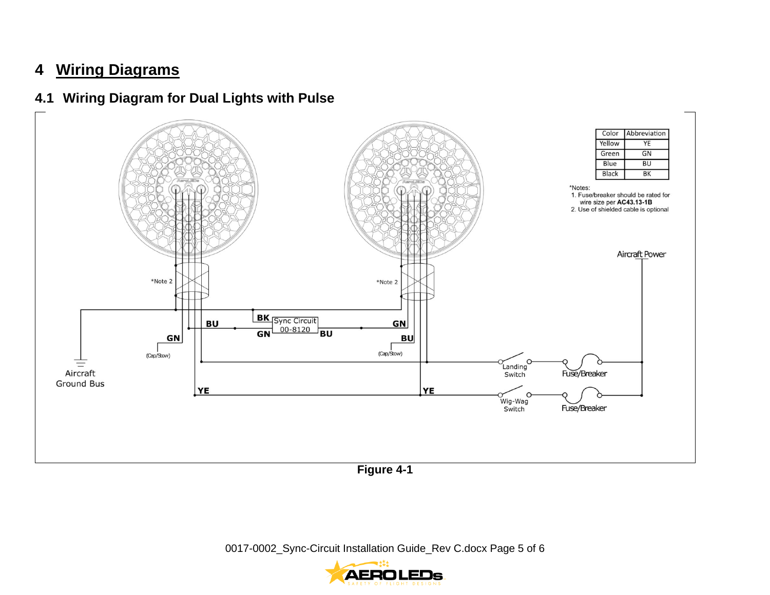# **4 Wiring Diagrams**

#### **4.1 Wiring Diagram for Dual Lights with Pulse**

<span id="page-4-1"></span><span id="page-4-0"></span>

**Figure 4-1**

0017-0002\_Sync-Circuit Installation Guide\_Rev C.docx Page 5 of 6